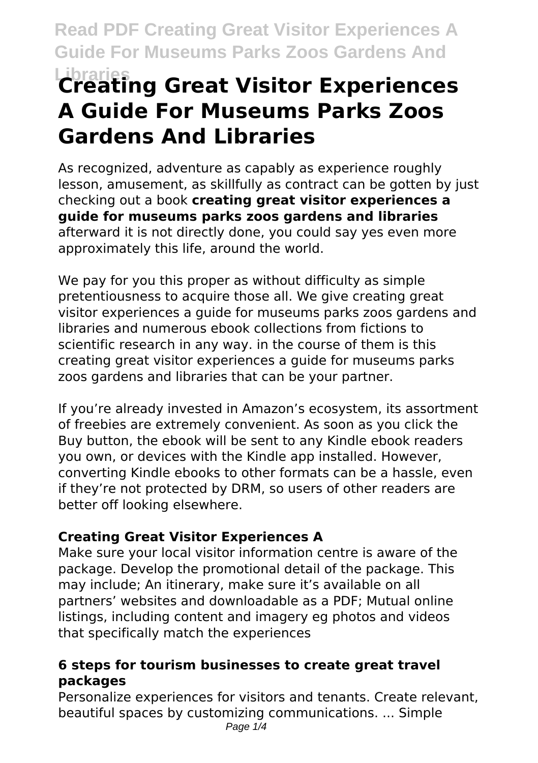# **Libraries Creating Great Visitor Experiences A Guide For Museums Parks Zoos Gardens And Libraries**

As recognized, adventure as capably as experience roughly lesson, amusement, as skillfully as contract can be gotten by just checking out a book **creating great visitor experiences a guide for museums parks zoos gardens and libraries** afterward it is not directly done, you could say yes even more approximately this life, around the world.

We pay for you this proper as without difficulty as simple pretentiousness to acquire those all. We give creating great visitor experiences a guide for museums parks zoos gardens and libraries and numerous ebook collections from fictions to scientific research in any way. in the course of them is this creating great visitor experiences a guide for museums parks zoos gardens and libraries that can be your partner.

If you're already invested in Amazon's ecosystem, its assortment of freebies are extremely convenient. As soon as you click the Buy button, the ebook will be sent to any Kindle ebook readers you own, or devices with the Kindle app installed. However, converting Kindle ebooks to other formats can be a hassle, even if they're not protected by DRM, so users of other readers are better off looking elsewhere.

### **Creating Great Visitor Experiences A**

Make sure your local visitor information centre is aware of the package. Develop the promotional detail of the package. This may include; An itinerary, make sure it's available on all partners' websites and downloadable as a PDF; Mutual online listings, including content and imagery eg photos and videos that specifically match the experiences

#### **6 steps for tourism businesses to create great travel packages**

Personalize experiences for visitors and tenants. Create relevant, beautiful spaces by customizing communications. ... Simple Page  $1/4$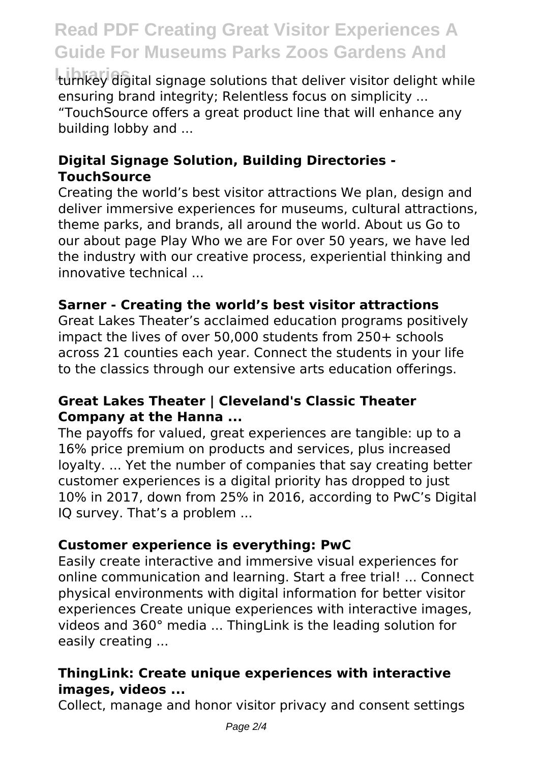turnkey digital signage solutions that deliver visitor delight while ensuring brand integrity; Relentless focus on simplicity ... "TouchSource offers a great product line that will enhance any building lobby and ...

#### **Digital Signage Solution, Building Directories - TouchSource**

Creating the world's best visitor attractions We plan, design and deliver immersive experiences for museums, cultural attractions, theme parks, and brands, all around the world. About us Go to our about page Play Who we are For over 50 years, we have led the industry with our creative process, experiential thinking and innovative technical ...

#### **Sarner - Creating the world's best visitor attractions**

Great Lakes Theater's acclaimed education programs positively impact the lives of over 50,000 students from 250+ schools across 21 counties each year. Connect the students in your life to the classics through our extensive arts education offerings.

#### **Great Lakes Theater | Cleveland's Classic Theater Company at the Hanna ...**

The payoffs for valued, great experiences are tangible: up to a 16% price premium on products and services, plus increased loyalty. ... Yet the number of companies that say creating better customer experiences is a digital priority has dropped to just 10% in 2017, down from 25% in 2016, according to PwC's Digital IQ survey. That's a problem ...

#### **Customer experience is everything: PwC**

Easily create interactive and immersive visual experiences for online communication and learning. Start a free trial! ... Connect physical environments with digital information for better visitor experiences Create unique experiences with interactive images, videos and 360° media ... ThingLink is the leading solution for easily creating ...

#### **ThingLink: Create unique experiences with interactive images, videos ...**

Collect, manage and honor visitor privacy and consent settings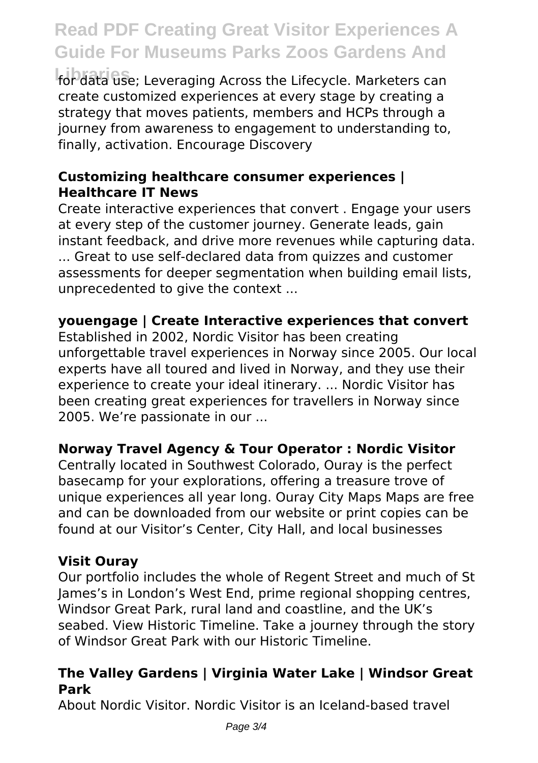**Libraries** for data use; Leveraging Across the Lifecycle. Marketers can create customized experiences at every stage by creating a strategy that moves patients, members and HCPs through a journey from awareness to engagement to understanding to, finally, activation. Encourage Discovery

#### **Customizing healthcare consumer experiences | Healthcare IT News**

Create interactive experiences that convert . Engage your users at every step of the customer journey. Generate leads, gain instant feedback, and drive more revenues while capturing data. ... Great to use self-declared data from quizzes and customer assessments for deeper segmentation when building email lists, unprecedented to give the context ...

#### **youengage | Create Interactive experiences that convert**

Established in 2002, Nordic Visitor has been creating unforgettable travel experiences in Norway since 2005. Our local experts have all toured and lived in Norway, and they use their experience to create your ideal itinerary. ... Nordic Visitor has been creating great experiences for travellers in Norway since 2005. We're passionate in our ...

#### **Norway Travel Agency & Tour Operator : Nordic Visitor**

Centrally located in Southwest Colorado, Ouray is the perfect basecamp for your explorations, offering a treasure trove of unique experiences all year long. Ouray City Maps Maps are free and can be downloaded from our website or print copies can be found at our Visitor's Center, City Hall, and local businesses

#### **Visit Ouray**

Our portfolio includes the whole of Regent Street and much of St James's in London's West End, prime regional shopping centres, Windsor Great Park, rural land and coastline, and the UK's seabed. View Historic Timeline. Take a journey through the story of Windsor Great Park with our Historic Timeline.

#### **The Valley Gardens | Virginia Water Lake | Windsor Great Park**

About Nordic Visitor. Nordic Visitor is an Iceland-based travel